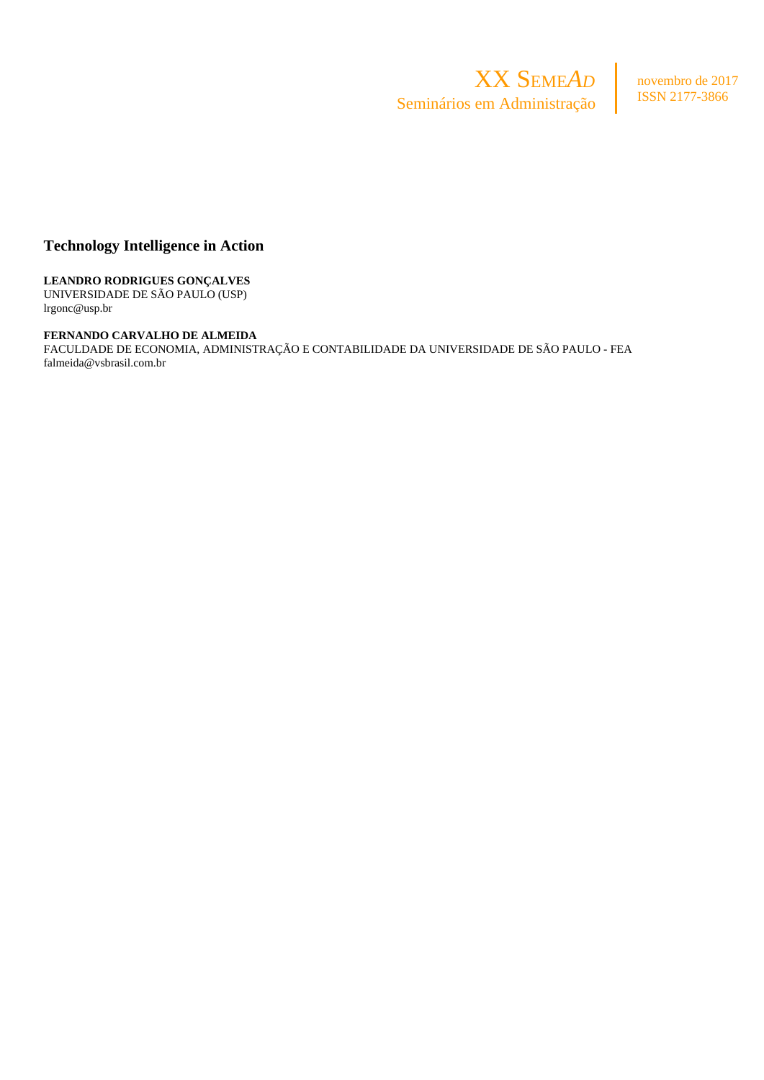

novembro de 2017 ISSN 2177-3866

# **Technology Intelligence in Action**

**LEANDRO RODRIGUES GONÇALVES** UNIVERSIDADE DE SÃO PAULO (USP) lrgonc@usp.br

**FERNANDO CARVALHO DE ALMEIDA** FACULDADE DE ECONOMIA, ADMINISTRAÇÃO E CONTABILIDADE DA UNIVERSIDADE DE SÃO PAULO - FEA

falmeida@vsbrasil.com.br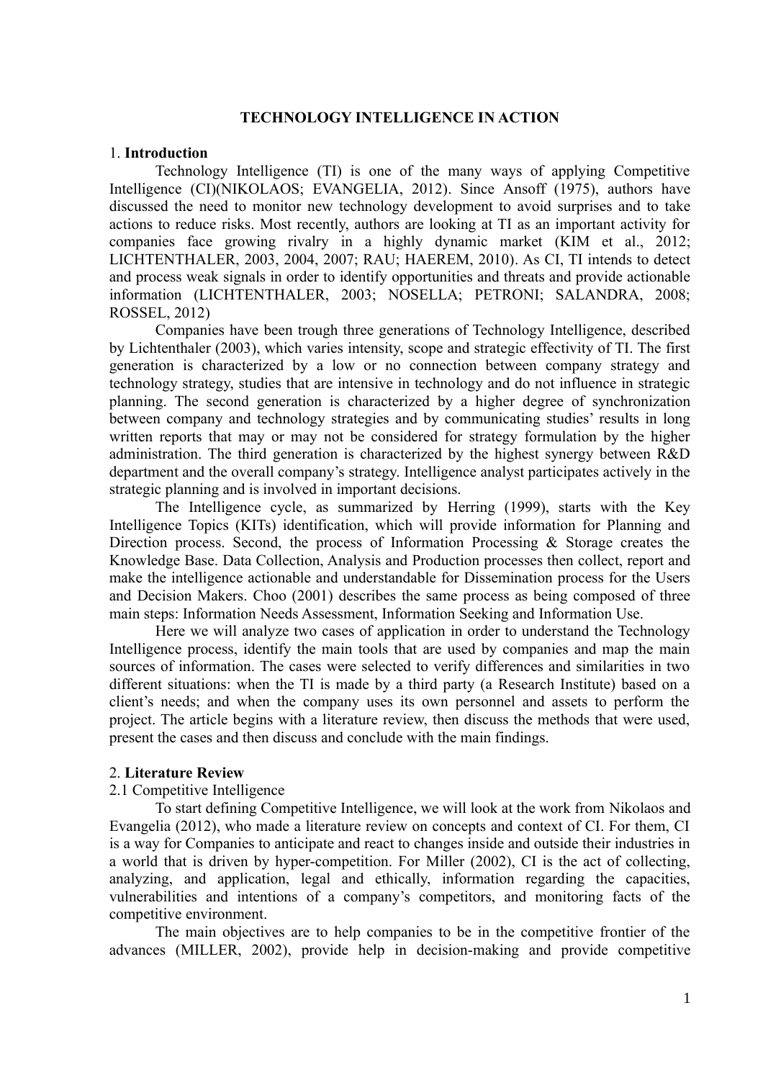# **TECHNOLOGY INTELLIGENCE IN ACTION**

#### 1. **Introduction**

Technology Intelligence (TI) is one of the many ways of applying Competitive Intelligence (CI)(NIKOLAOS; EVANGELIA, 2012). Since Ansoff (1975), authors have discussed the need to monitor new technology development to avoid surprises and to take actions to reduce risks. Most recently, authors are looking at TI as an important activity for companies face growing rivalry in a highly dynamic market (KIM et al., 2012; LICHTENTHALER, 2003, 2004, 2007; RAU; HAEREM, 2010). As CI, TI intends to detect and process weak signals in order to identify opportunities and threats and provide actionable information (LICHTENTHALER, 2003; NOSELLA; PETRONI; SALANDRA, 2008; ROSSEL, 2012)

Companies have been trough three generations of Technology Intelligence, described by Lichtenthaler (2003), which varies intensity, scope and strategic effectivity of TI. The first generation is characterized by a low or no connection between company strategy and technology strategy, studies that are intensive in technology and do not influence in strategic planning. The second generation is characterized by a higher degree of synchronization between company and technology strategies and by communicating studies' results in long written reports that may or may not be considered for strategy formulation by the higher administration. The third generation is characterized by the highest synergy between R&D department and the overall company's strategy. Intelligence analyst participates actively in the strategic planning and is involved in important decisions.

The Intelligence cycle, as summarized by Herring (1999), starts with the Key Intelligence Topics (KITs) identification, which will provide information for Planning and Direction process. Second, the process of Information Processing & Storage creates the Knowledge Base. Data Collection, Analysis and Production processes then collect, report and make the intelligence actionable and understandable for Dissemination process for the Users and Decision Makers. Choo (2001) describes the same process as being composed of three main steps: Information Needs Assessment, Information Seeking and Information Use.

Here we will analyze two cases of application in order to understand the Technology Intelligence process, identify the main tools that are used by companies and map the main sources of information. The cases were selected to verify differences and similarities in two different situations: when the TI is made by a third party (a Research Institute) based on a client's needs; and when the company uses its own personnel and assets to perform the project. The article begins with a literature review, then discuss the methods that were used, present the cases and then discuss and conclude with the main findings.

#### 2. **Literature Review**

### 2.1 Competitive Intelligence

To start defining Competitive Intelligence, we will look at the work from Nikolaos and Evangelia (2012), who made a literature review on concepts and context of CI. For them, CI is a way for Companies to anticipate and react to changes inside and outside their industries in a world that is driven by hyper-competition. For Miller (2002), CI is the act of collecting, analyzing, and application, legal and ethically, information regarding the capacities, vulnerabilities and intentions of a company's competitors, and monitoring facts of the competitive environment.

The main objectives are to help companies to be in the competitive frontier of the advances (MILLER, 2002), provide help in decision-making and provide competitive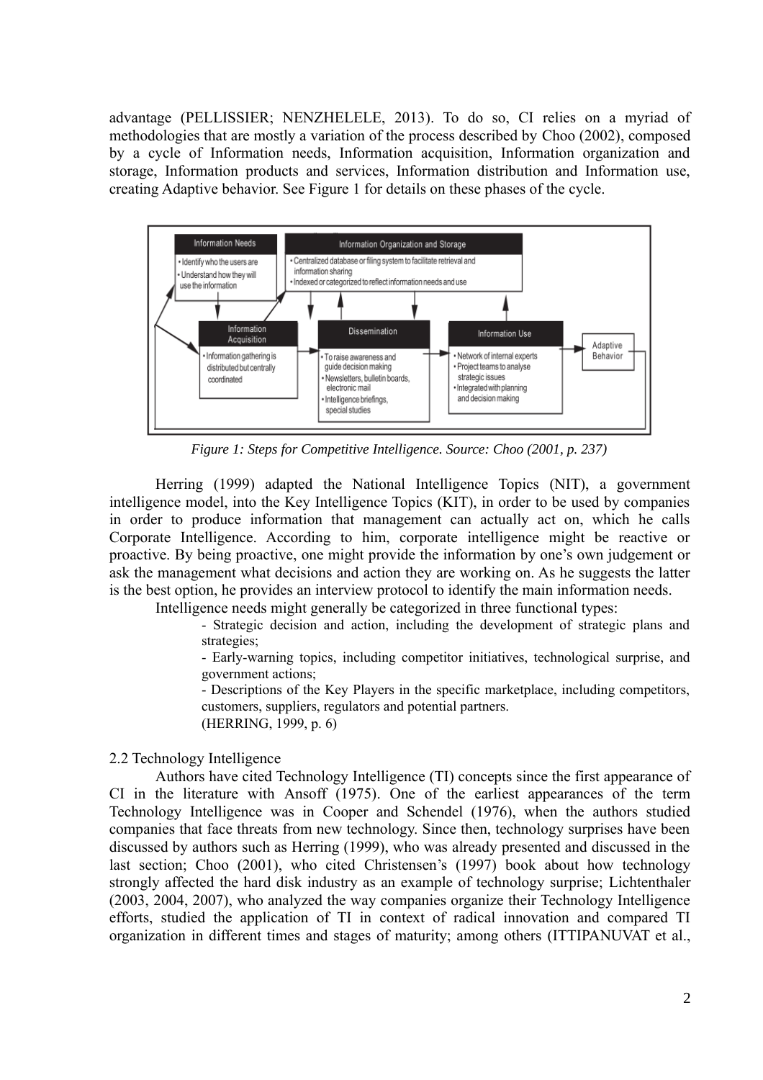advantage (PELLISSIER; NENZHELELE, 2013). To do so, CI relies on a myriad of methodologies that are mostly a variation of the process described by Choo (2002), composed by a cycle of Information needs, Information acquisition, Information organization and storage, Information products and services, Information distribution and Information use, creating Adaptive behavior. See Figure 1 for details on these phases of the cycle.



*Figure 1: Steps for Competitive Intelligence. Source: Choo (2001, p. 237)*

Herring (1999) adapted the National Intelligence Topics (NIT), a government intelligence model, into the Key Intelligence Topics (KIT), in order to be used by companies in order to produce information that management can actually act on, which he calls Corporate Intelligence. According to him, corporate intelligence might be reactive or proactive. By being proactive, one might provide the information by one's own judgement or ask the management what decisions and action they are working on. As he suggests the latter is the best option, he provides an interview protocol to identify the main information needs.

Intelligence needs might generally be categorized in three functional types:

- Strategic decision and action, including the development of strategic plans and strategies;

- Early-warning topics, including competitor initiatives, technological surprise, and government actions;

- Descriptions of the Key Players in the specific marketplace, including competitors, customers, suppliers, regulators and potential partners. (HERRING, 1999, p. 6)

# 2.2 Technology Intelligence

Authors have cited Technology Intelligence (TI) concepts since the first appearance of CI in the literature with Ansoff (1975). One of the earliest appearances of the term Technology Intelligence was in Cooper and Schendel (1976), when the authors studied companies that face threats from new technology. Since then, technology surprises have been discussed by authors such as Herring (1999), who was already presented and discussed in the last section; Choo (2001), who cited Christensen's (1997) book about how technology strongly affected the hard disk industry as an example of technology surprise; Lichtenthaler (2003, 2004, 2007), who analyzed the way companies organize their Technology Intelligence efforts, studied the application of TI in context of radical innovation and compared TI organization in different times and stages of maturity; among others (ITTIPANUVAT et al.,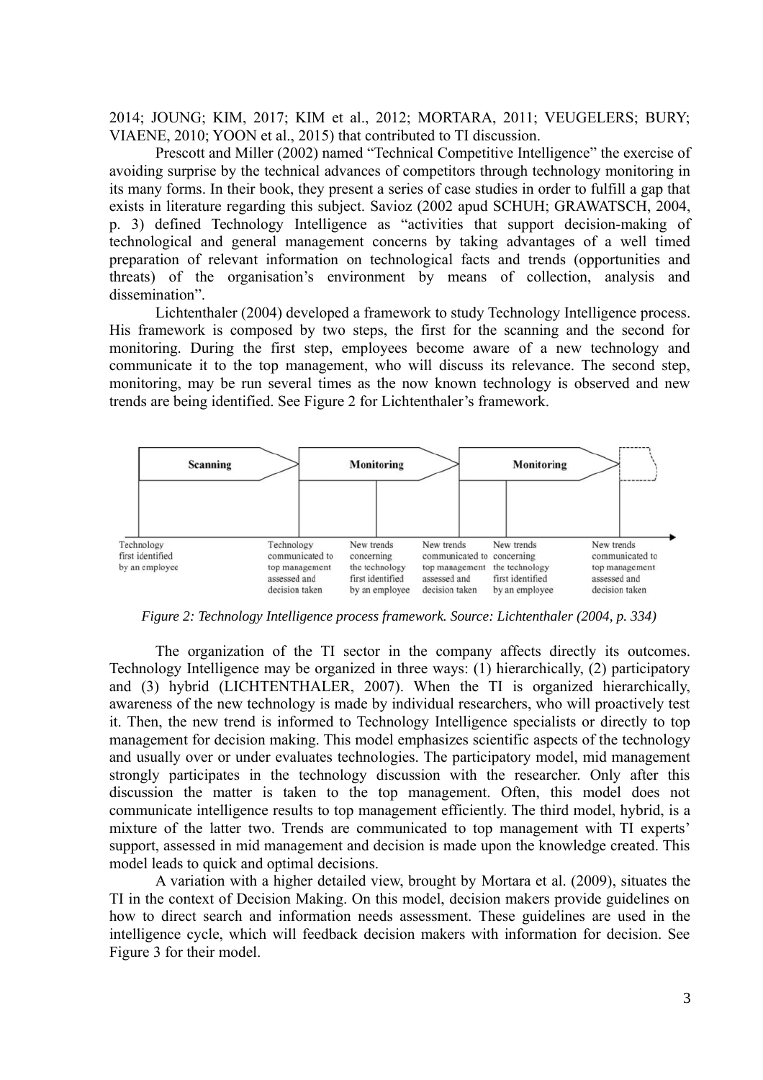2014; JOUNG; KIM, 2017; KIM et al., 2012; MORTARA, 2011; VEUGELERS; BURY; VIAENE, 2010; YOON et al., 2015) that contributed to TI discussion.

Prescott and Miller (2002) named "Technical Competitive Intelligence" the exercise of avoiding surprise by the technical advances of competitors through technology monitoring in its many forms. In their book, they present a series of case studies in order to fulfill a gap that exists in literature regarding this subject. Savioz (2002 apud SCHUH; GRAWATSCH, 2004, p. 3) defined Technology Intelligence as "activities that support decision-making of technological and general management concerns by taking advantages of a well timed preparation of relevant information on technological facts and trends (opportunities and threats) of the organisation's environment by means of collection, analysis and dissemination".

Lichtenthaler (2004) developed a framework to study Technology Intelligence process. His framework is composed by two steps, the first for the scanning and the second for monitoring. During the first step, employees become aware of a new technology and communicate it to the top management, who will discuss its relevance. The second step, monitoring, may be run several times as the now known technology is observed and new trends are being identified. See Figure 2 for Lichtenthaler's framework.



*Figure 2: Technology Intelligence process framework. Source: Lichtenthaler (2004, p. 334)*

The organization of the TI sector in the company affects directly its outcomes. Technology Intelligence may be organized in three ways: (1) hierarchically, (2) participatory and (3) hybrid (LICHTENTHALER, 2007). When the TI is organized hierarchically, awareness of the new technology is made by individual researchers, who will proactively test it. Then, the new trend is informed to Technology Intelligence specialists or directly to top management for decision making. This model emphasizes scientific aspects of the technology and usually over or under evaluates technologies. The participatory model, mid management strongly participates in the technology discussion with the researcher. Only after this discussion the matter is taken to the top management. Often, this model does not communicate intelligence results to top management efficiently. The third model, hybrid, is a mixture of the latter two. Trends are communicated to top management with TI experts' support, assessed in mid management and decision is made upon the knowledge created. This model leads to quick and optimal decisions.

A variation with a higher detailed view, brought by Mortara et al. (2009), situates the TI in the context of Decision Making. On this model, decision makers provide guidelines on how to direct search and information needs assessment. These guidelines are used in the intelligence cycle, which will feedback decision makers with information for decision. See Figure 3 for their model.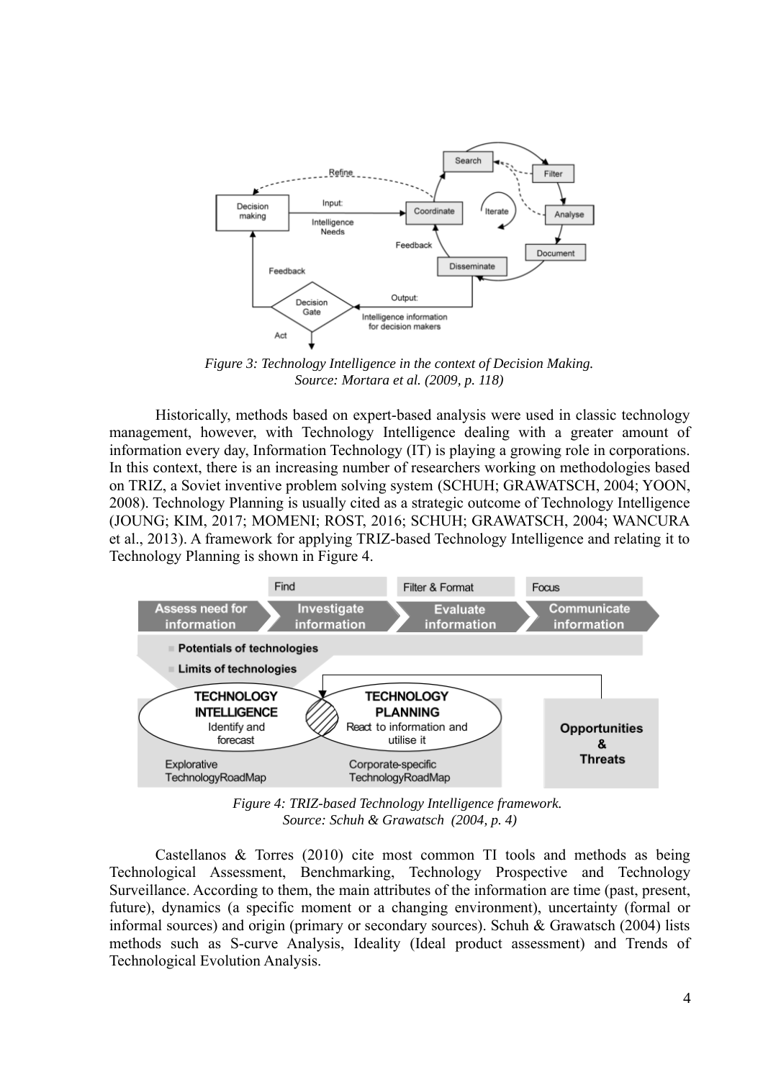

*Figure 3: Technology Intelligence in the context of Decision Making. Source: Mortara et al. (2009, p. 118)*

Historically, methods based on expert-based analysis were used in classic technology management, however, with Technology Intelligence dealing with a greater amount of information every day, Information Technology (IT) is playing a growing role in corporations. In this context, there is an increasing number of researchers working on methodologies based on TRIZ, a Soviet inventive problem solving system (SCHUH; GRAWATSCH, 2004; YOON, 2008). Technology Planning is usually cited as a strategic outcome of Technology Intelligence (JOUNG; KIM, 2017; MOMENI; ROST, 2016; SCHUH; GRAWATSCH, 2004; WANCURA et al., 2013). A framework for applying TRIZ-based Technology Intelligence and relating it to Technology Planning is shown in Figure 4.



*Figure 4: TRIZ-based Technology Intelligence framework. Source: Schuh & Grawatsch (2004, p. 4)*

Castellanos & Torres (2010) cite most common TI tools and methods as being Technological Assessment, Benchmarking, Technology Prospective and Technology Surveillance. According to them, the main attributes of the information are time (past, present, future), dynamics (a specific moment or a changing environment), uncertainty (formal or informal sources) and origin (primary or secondary sources). Schuh & Grawatsch (2004) lists methods such as S-curve Analysis, Ideality (Ideal product assessment) and Trends of Technological Evolution Analysis.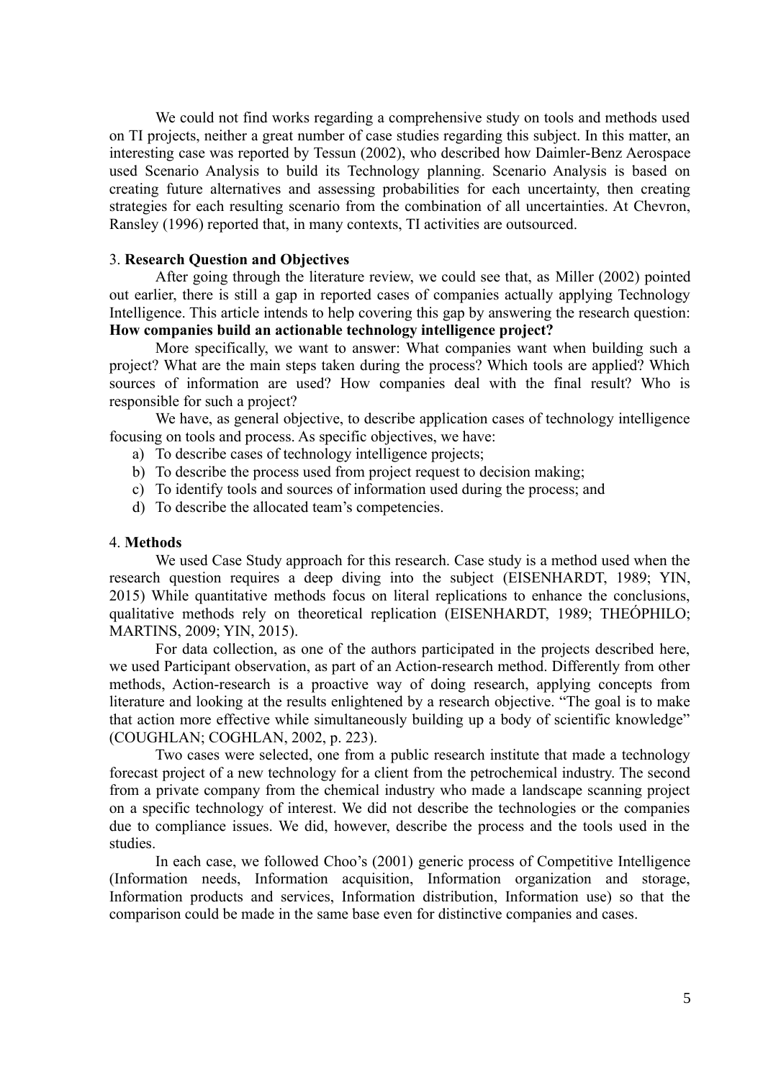We could not find works regarding a comprehensive study on tools and methods used on TI projects, neither a great number of case studies regarding this subject. In this matter, an interesting case was reported by Tessun (2002), who described how Daimler-Benz Aerospace used Scenario Analysis to build its Technology planning. Scenario Analysis is based on creating future alternatives and assessing probabilities for each uncertainty, then creating strategies for each resulting scenario from the combination of all uncertainties. At Chevron, Ransley (1996) reported that, in many contexts, TI activities are outsourced.

# 3. **Research Question and Objectives**

After going through the literature review, we could see that, as Miller (2002) pointed out earlier, there is still a gap in reported cases of companies actually applying Technology Intelligence. This article intends to help covering this gap by answering the research question: **How companies build an actionable technology intelligence project?**

More specifically, we want to answer: What companies want when building such a project? What are the main steps taken during the process? Which tools are applied? Which sources of information are used? How companies deal with the final result? Who is responsible for such a project?

We have, as general objective, to describe application cases of technology intelligence focusing on tools and process. As specific objectives, we have:

- a) To describe cases of technology intelligence projects;
- b) To describe the process used from project request to decision making;
- c) To identify tools and sources of information used during the process; and
- d) To describe the allocated team's competencies.

#### 4. **Methods**

We used Case Study approach for this research. Case study is a method used when the research question requires a deep diving into the subject (EISENHARDT, 1989; YIN, 2015) While quantitative methods focus on literal replications to enhance the conclusions, qualitative methods rely on theoretical replication (EISENHARDT, 1989; THEÓPHILO; MARTINS, 2009; YIN, 2015).

For data collection, as one of the authors participated in the projects described here, we used Participant observation, as part of an Action-research method. Differently from other methods, Action-research is a proactive way of doing research, applying concepts from literature and looking at the results enlightened by a research objective. "The goal is to make that action more effective while simultaneously building up a body of scientific knowledge" (COUGHLAN; COGHLAN, 2002, p. 223).

Two cases were selected, one from a public research institute that made a technology forecast project of a new technology for a client from the petrochemical industry. The second from a private company from the chemical industry who made a landscape scanning project on a specific technology of interest. We did not describe the technologies or the companies due to compliance issues. We did, however, describe the process and the tools used in the studies.

In each case, we followed Choo's (2001) generic process of Competitive Intelligence (Information needs, Information acquisition, Information organization and storage, Information products and services, Information distribution, Information use) so that the comparison could be made in the same base even for distinctive companies and cases.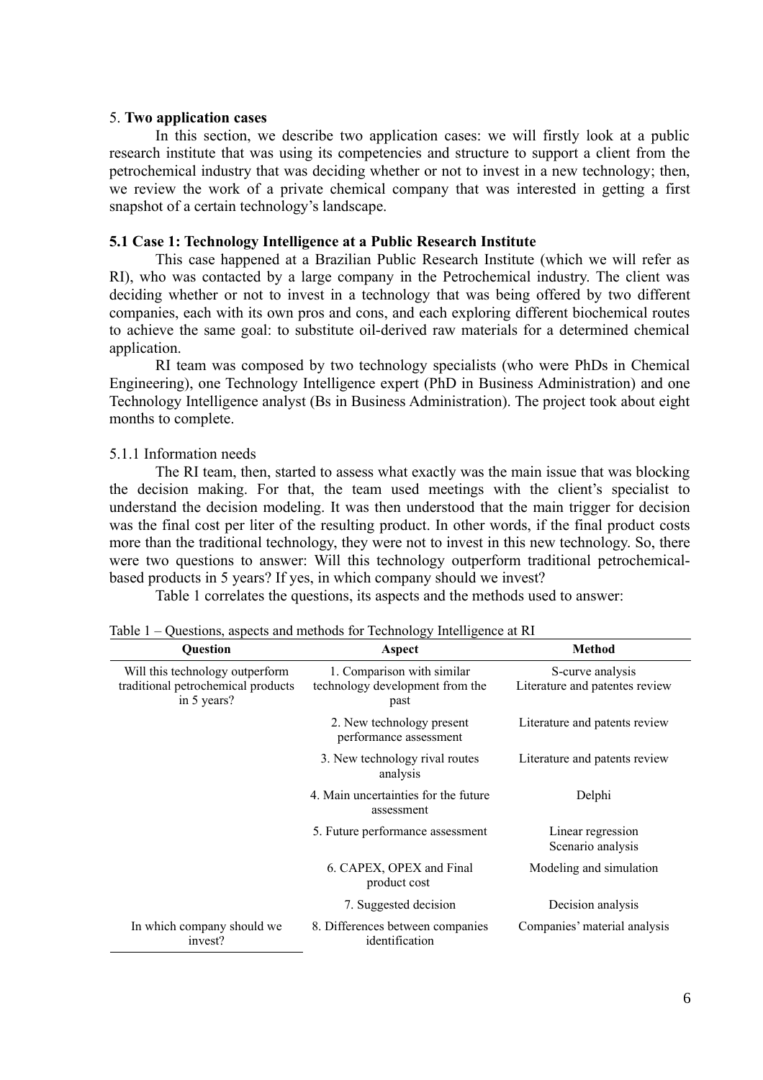# 5. **Two application cases**

In this section, we describe two application cases: we will firstly look at a public research institute that was using its competencies and structure to support a client from the petrochemical industry that was deciding whether or not to invest in a new technology; then, we review the work of a private chemical company that was interested in getting a first snapshot of a certain technology's landscape.

# **5.1 Case 1: Technology Intelligence at a Public Research Institute**

This case happened at a Brazilian Public Research Institute (which we will refer as RI), who was contacted by a large company in the Petrochemical industry. The client was deciding whether or not to invest in a technology that was being offered by two different companies, each with its own pros and cons, and each exploring different biochemical routes to achieve the same goal: to substitute oil-derived raw materials for a determined chemical application.

RI team was composed by two technology specialists (who were PhDs in Chemical Engineering), one Technology Intelligence expert (PhD in Business Administration) and one Technology Intelligence analyst (Bs in Business Administration). The project took about eight months to complete.

# 5.1.1 Information needs

The RI team, then, started to assess what exactly was the main issue that was blocking the decision making. For that, the team used meetings with the client's specialist to understand the decision modeling. It was then understood that the main trigger for decision was the final cost per liter of the resulting product. In other words, if the final product costs more than the traditional technology, they were not to invest in this new technology. So, there were two questions to answer: Will this technology outperform traditional petrochemicalbased products in 5 years? If yes, in which company should we invest?

Table 1 correlates the questions, its aspects and the methods used to answer:

|  |  |  |  | Table 1 – Questions, aspects and methods for Technology Intelligence at RI |  |
|--|--|--|--|----------------------------------------------------------------------------|--|
|  |  |  |  |                                                                            |  |

| <b>Ouestion</b>                                                                      | Aspect                                                                | <b>Method</b>                                      |
|--------------------------------------------------------------------------------------|-----------------------------------------------------------------------|----------------------------------------------------|
| Will this technology outperform<br>traditional petrochemical products<br>in 5 years? | 1. Comparison with similar<br>technology development from the<br>past | S-curve analysis<br>Literature and patentes review |
|                                                                                      | 2. New technology present<br>performance assessment                   | Literature and patents review                      |
|                                                                                      | 3. New technology rival routes<br>analysis                            | Literature and patents review                      |
|                                                                                      | 4. Main uncertainties for the future<br>assessment                    | Delphi                                             |
|                                                                                      | 5. Future performance assessment                                      | Linear regression<br>Scenario analysis             |
|                                                                                      | 6. CAPEX, OPEX and Final<br>product cost                              | Modeling and simulation                            |
|                                                                                      | 7. Suggested decision                                                 | Decision analysis                                  |
| In which company should we<br>invest?                                                | 8. Differences between companies<br>identification                    | Companies' material analysis                       |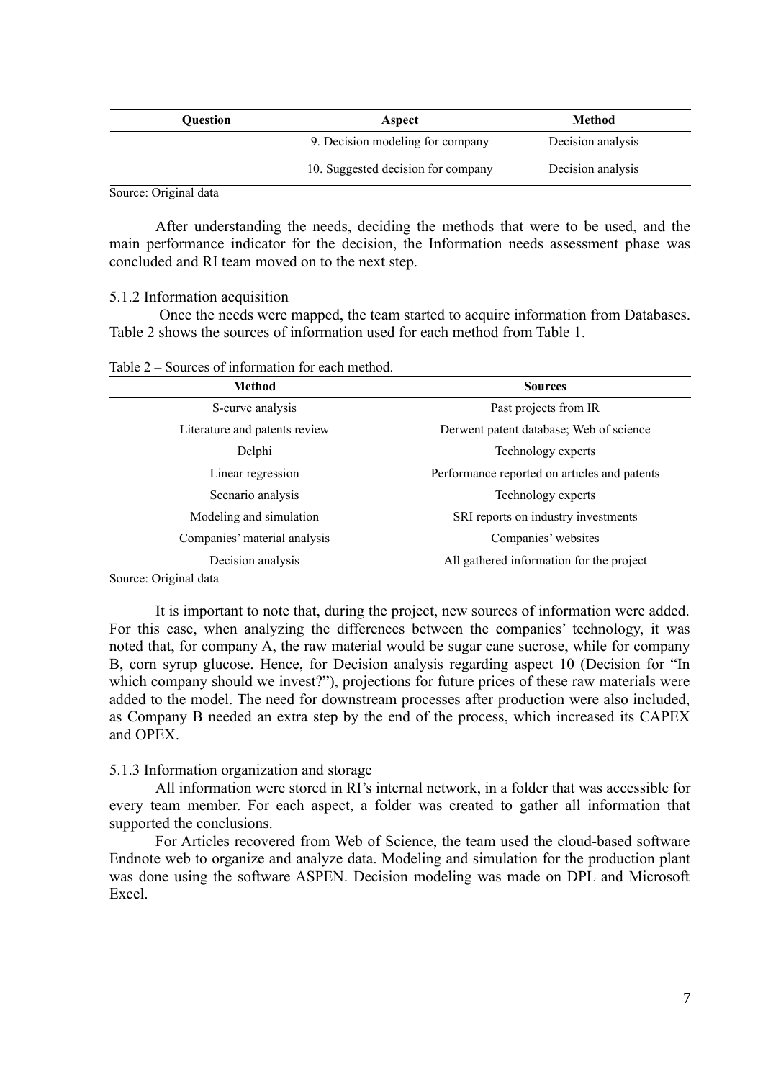| <b>Ouestion</b> | Aspect                             | Method            |
|-----------------|------------------------------------|-------------------|
|                 | 9. Decision modeling for company   | Decision analysis |
|                 | 10. Suggested decision for company | Decision analysis |

Source: Original data

After understanding the needs, deciding the methods that were to be used, and the main performance indicator for the decision, the Information needs assessment phase was concluded and RI team moved on to the next step.

5.1.2 Information acquisition

 Once the needs were mapped, the team started to acquire information from Databases. Table 2 shows the sources of information used for each method from Table 1.

| Table 2 – Sources of information for each method. |  |  |
|---------------------------------------------------|--|--|
|---------------------------------------------------|--|--|

| Method                        | <b>Sources</b>                               |  |
|-------------------------------|----------------------------------------------|--|
| S-curve analysis              | Past projects from IR                        |  |
| Literature and patents review | Derwent patent database; Web of science      |  |
| Delphi                        | Technology experts                           |  |
| Linear regression             | Performance reported on articles and patents |  |
| Scenario analysis             | Technology experts                           |  |
| Modeling and simulation       | SRI reports on industry investments          |  |
| Companies' material analysis  | Companies' websites                          |  |
| Decision analysis             | All gathered information for the project     |  |

Source: Original data

It is important to note that, during the project, new sources of information were added. For this case, when analyzing the differences between the companies' technology, it was noted that, for company A, the raw material would be sugar cane sucrose, while for company B, corn syrup glucose. Hence, for Decision analysis regarding aspect 10 (Decision for "In which company should we invest?"), projections for future prices of these raw materials were added to the model. The need for downstream processes after production were also included, as Company B needed an extra step by the end of the process, which increased its CAPEX and OPEX.

# 5.1.3 Information organization and storage

All information were stored in RI's internal network, in a folder that was accessible for every team member. For each aspect, a folder was created to gather all information that supported the conclusions.

For Articles recovered from Web of Science, the team used the cloud-based software Endnote web to organize and analyze data. Modeling and simulation for the production plant was done using the software ASPEN. Decision modeling was made on DPL and Microsoft **Excel**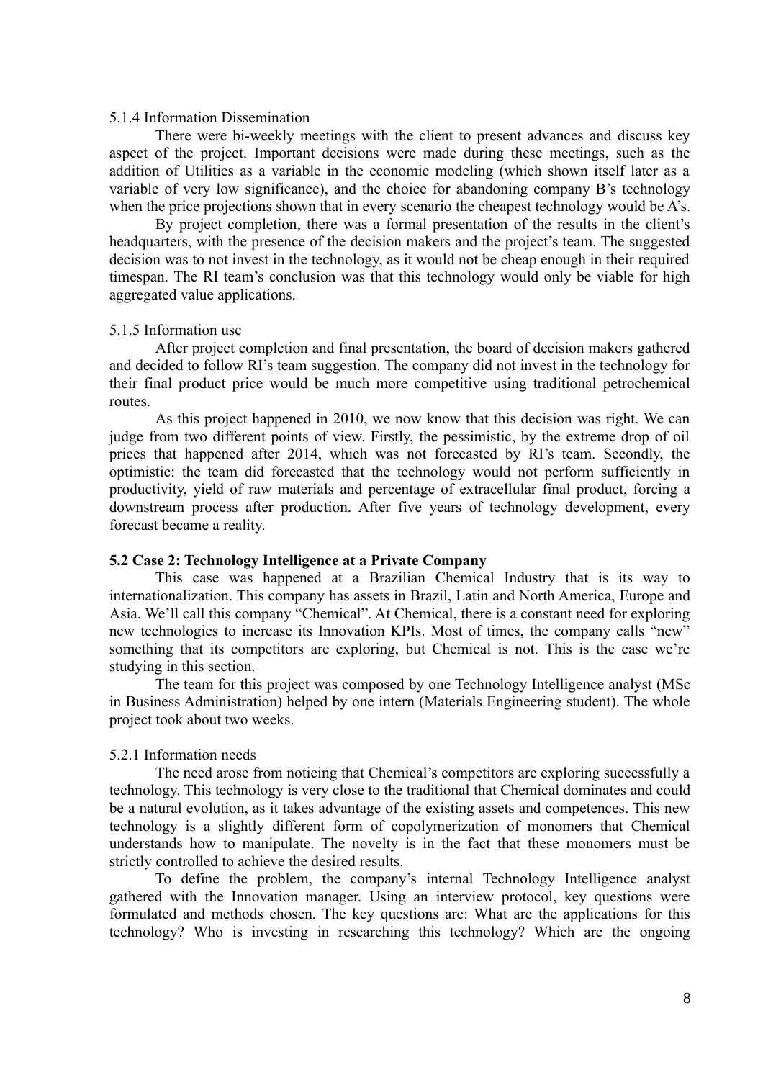# 5.1.4 Information Dissemination

There were bi-weekly meetings with the client to present advances and discuss key aspect of the project. Important decisions were made during these meetings, such as the addition of Utilities as a variable in the economic modeling (which shown itself later as a variable of very low significance), and the choice for abandoning company B's technology when the price projections shown that in every scenario the cheapest technology would be A's.

By project completion, there was a formal presentation of the results in the client's headquarters, with the presence of the decision makers and the project's team. The suggested decision was to not invest in the technology, as it would not be cheap enough in their required timespan. The RI team's conclusion was that this technology would only be viable for high aggregated value applications.

#### 5.1.5 Information use

After project completion and final presentation, the board of decision makers gathered and decided to follow RI's team suggestion. The company did not invest in the technology for their final product price would be much more competitive using traditional petrochemical routes.

As this project happened in 2010, we now know that this decision was right. We can judge from two different points of view. Firstly, the pessimistic, by the extreme drop of oil prices that happened after 2014, which was not forecasted by RI's team. Secondly, the optimistic: the team did forecasted that the technology would not perform sufficiently in productivity, yield of raw materials and percentage of extracellular final product, forcing a downstream process after production. After five years of technology development, every forecast became a reality.

### **5.2 Case 2: Technology Intelligence at a Private Company**

This case was happened at a Brazilian Chemical Industry that is its way to internationalization. This company has assets in Brazil, Latin and North America, Europe and Asia. We'll call this company "Chemical". At Chemical, there is a constant need for exploring new technologies to increase its Innovation KPIs. Most of times, the company calls "new" something that its competitors are exploring, but Chemical is not. This is the case we're studying in this section.

The team for this project was composed by one Technology Intelligence analyst (MSc in Business Administration) helped by one intern (Materials Engineering student). The whole project took about two weeks.

# 5.2.1 Information needs

The need arose from noticing that Chemical's competitors are exploring successfully a technology. This technology is very close to the traditional that Chemical dominates and could be a natural evolution, as it takes advantage of the existing assets and competences. This new technology is a slightly different form of copolymerization of monomers that Chemical understands how to manipulate. The novelty is in the fact that these monomers must be strictly controlled to achieve the desired results.

To define the problem, the company's internal Technology Intelligence analyst gathered with the Innovation manager. Using an interview protocol, key questions were formulated and methods chosen. The key questions are: What are the applications for this technology? Who is investing in researching this technology? Which are the ongoing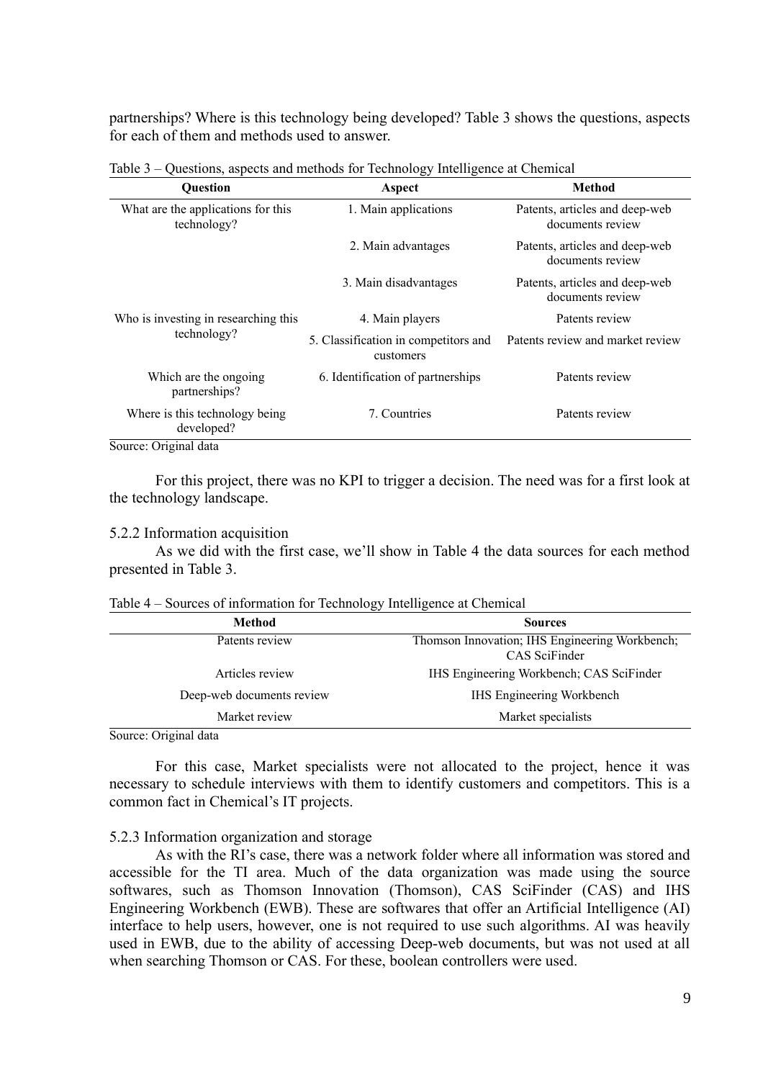partnerships? Where is this technology being developed? Table 3 shows the questions, aspects for each of them and methods used to answer.

| <b>Question</b>                                   | Aspect                                            | <b>Method</b>                                      |
|---------------------------------------------------|---------------------------------------------------|----------------------------------------------------|
| What are the applications for this<br>technology? | 1. Main applications                              | Patents, articles and deep-web<br>documents review |
|                                                   | 2. Main advantages                                | Patents, articles and deep-web<br>documents review |
|                                                   | 3. Main disadvantages                             | Patents, articles and deep-web<br>documents review |
| Who is investing in researching this              | 4. Main players                                   | Patents review                                     |
| technology?                                       | 5. Classification in competitors and<br>customers | Patents review and market review                   |
| Which are the ongoing<br>partnerships?            | 6. Identification of partnerships                 | Patents review                                     |
| Where is this technology being<br>developed?      | 7. Countries                                      | Patents review                                     |
| Source: Original data                             |                                                   |                                                    |

Table 3 – Questions, aspects and methods for Technology Intelligence at Chemical

Source: Or

For this project, there was no KPI to trigger a decision. The need was for a first look at the technology landscape.

### 5.2.2 Information acquisition

As we did with the first case, we'll show in Table 4 the data sources for each method presented in Table 3.

| <b>Method</b><br><b>Sources</b>     |                                                                 |  |
|-------------------------------------|-----------------------------------------------------------------|--|
| Patents review                      | Thomson Innovation; IHS Engineering Workbench;<br>CAS SciFinder |  |
| Articles review                     | IHS Engineering Workbench; CAS SciFinder                        |  |
| Deep-web documents review           | IHS Engineering Workbench                                       |  |
| Market review<br>Market specialists |                                                                 |  |

Table 4 – Sources of information for Technology Intelligence at Chemical

Source: Original data

For this case, Market specialists were not allocated to the project, hence it was necessary to schedule interviews with them to identify customers and competitors. This is a common fact in Chemical's IT projects.

# 5.2.3 Information organization and storage

As with the RI's case, there was a network folder where all information was stored and accessible for the TI area. Much of the data organization was made using the source softwares, such as Thomson Innovation (Thomson), CAS SciFinder (CAS) and IHS Engineering Workbench (EWB). These are softwares that offer an Artificial Intelligence (AI) interface to help users, however, one is not required to use such algorithms. AI was heavily used in EWB, due to the ability of accessing Deep-web documents, but was not used at all when searching Thomson or CAS. For these, boolean controllers were used.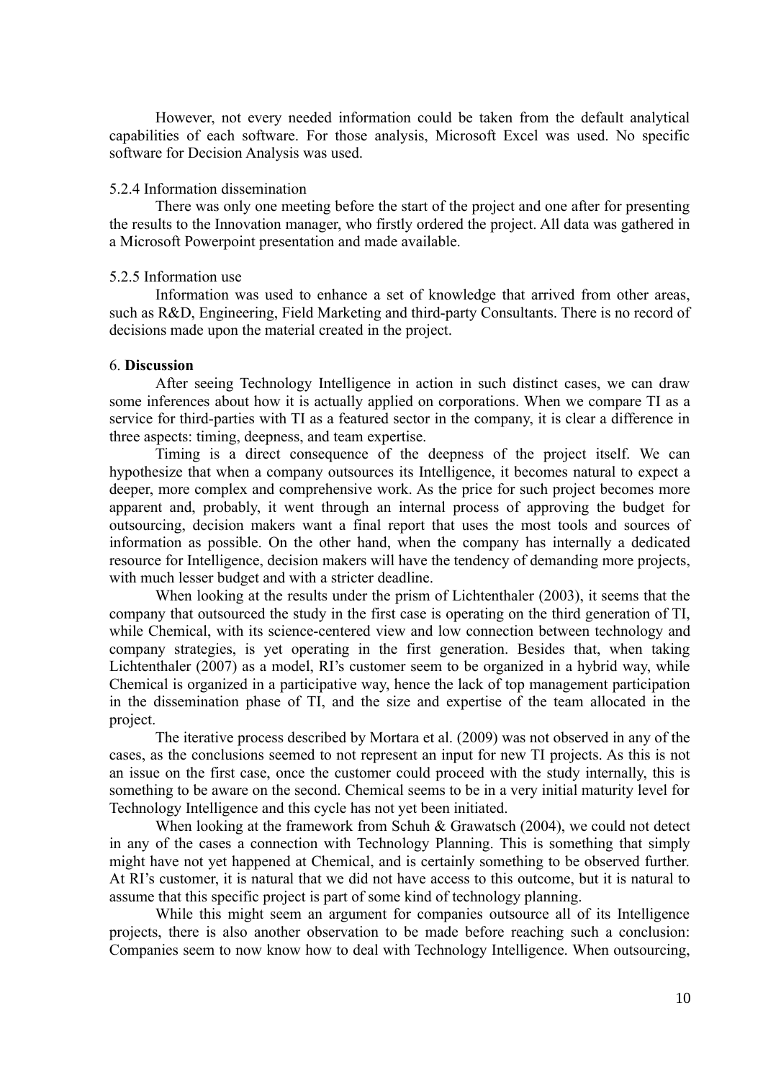However, not every needed information could be taken from the default analytical capabilities of each software. For those analysis, Microsoft Excel was used. No specific software for Decision Analysis was used.

### 5.2.4 Information dissemination

There was only one meeting before the start of the project and one after for presenting the results to the Innovation manager, who firstly ordered the project. All data was gathered in a Microsoft Powerpoint presentation and made available.

### 5.2.5 Information use

Information was used to enhance a set of knowledge that arrived from other areas, such as R&D, Engineering, Field Marketing and third-party Consultants. There is no record of decisions made upon the material created in the project.

#### 6. **Discussion**

After seeing Technology Intelligence in action in such distinct cases, we can draw some inferences about how it is actually applied on corporations. When we compare TI as a service for third-parties with TI as a featured sector in the company, it is clear a difference in three aspects: timing, deepness, and team expertise.

Timing is a direct consequence of the deepness of the project itself. We can hypothesize that when a company outsources its Intelligence, it becomes natural to expect a deeper, more complex and comprehensive work. As the price for such project becomes more apparent and, probably, it went through an internal process of approving the budget for outsourcing, decision makers want a final report that uses the most tools and sources of information as possible. On the other hand, when the company has internally a dedicated resource for Intelligence, decision makers will have the tendency of demanding more projects, with much lesser budget and with a stricter deadline.

When looking at the results under the prism of Lichtenthaler (2003), it seems that the company that outsourced the study in the first case is operating on the third generation of TI, while Chemical, with its science-centered view and low connection between technology and company strategies, is yet operating in the first generation. Besides that, when taking Lichtenthaler (2007) as a model, RI's customer seem to be organized in a hybrid way, while Chemical is organized in a participative way, hence the lack of top management participation in the dissemination phase of TI, and the size and expertise of the team allocated in the project.

The iterative process described by Mortara et al. (2009) was not observed in any of the cases, as the conclusions seemed to not represent an input for new TI projects. As this is not an issue on the first case, once the customer could proceed with the study internally, this is something to be aware on the second. Chemical seems to be in a very initial maturity level for Technology Intelligence and this cycle has not yet been initiated.

When looking at the framework from Schuh & Grawatsch (2004), we could not detect in any of the cases a connection with Technology Planning. This is something that simply might have not yet happened at Chemical, and is certainly something to be observed further. At RI's customer, it is natural that we did not have access to this outcome, but it is natural to assume that this specific project is part of some kind of technology planning.

While this might seem an argument for companies outsource all of its Intelligence projects, there is also another observation to be made before reaching such a conclusion: Companies seem to now know how to deal with Technology Intelligence. When outsourcing,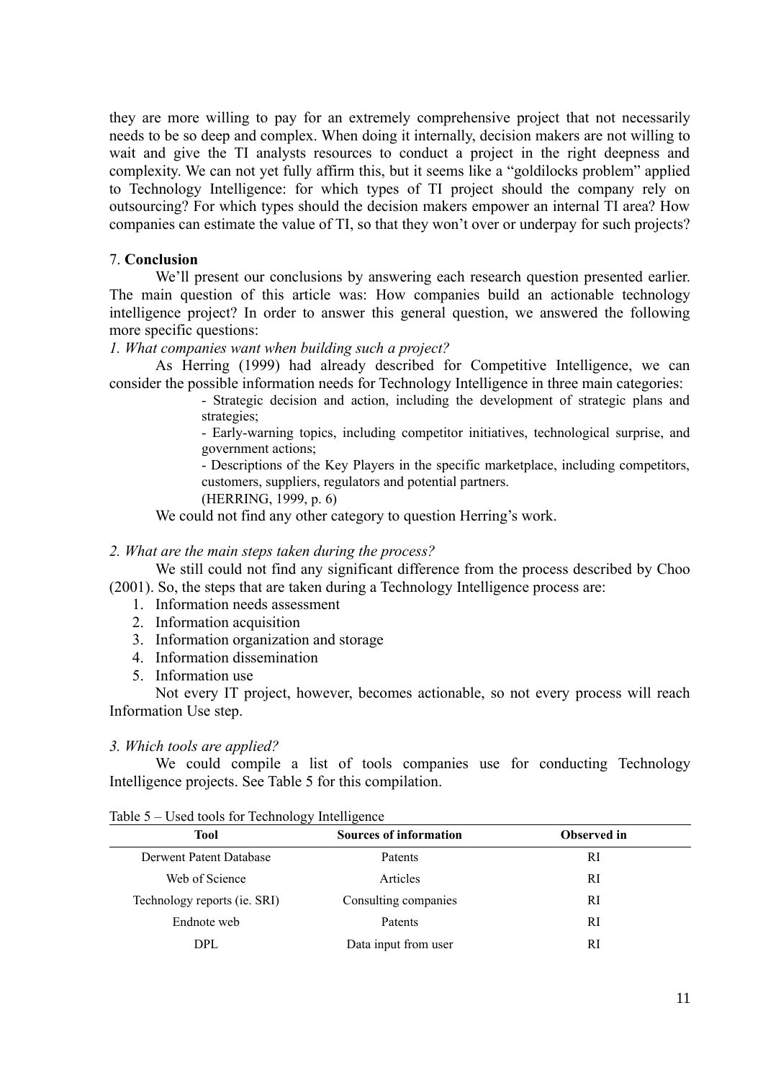they are more willing to pay for an extremely comprehensive project that not necessarily needs to be so deep and complex. When doing it internally, decision makers are not willing to wait and give the TI analysts resources to conduct a project in the right deepness and complexity. We can not yet fully affirm this, but it seems like a "goldilocks problem" applied to Technology Intelligence: for which types of TI project should the company rely on outsourcing? For which types should the decision makers empower an internal TI area? How companies can estimate the value of TI, so that they won't over or underpay for such projects?

# 7. **Conclusion**

We'll present our conclusions by answering each research question presented earlier. The main question of this article was: How companies build an actionable technology intelligence project? In order to answer this general question, we answered the following more specific questions:

#### *1. What companies want when building such a project?*

As Herring (1999) had already described for Competitive Intelligence, we can consider the possible information needs for Technology Intelligence in three main categories:

> - Strategic decision and action, including the development of strategic plans and strategies;

> - Early-warning topics, including competitor initiatives, technological surprise, and government actions;

> - Descriptions of the Key Players in the specific marketplace, including competitors, customers, suppliers, regulators and potential partners.

(HERRING, 1999, p. 6)

We could not find any other category to question Herring's work.

# *2. What are the main steps taken during the process?*

We still could not find any significant difference from the process described by Choo (2001). So, the steps that are taken during a Technology Intelligence process are:

- 1. Information needs assessment
- 2. Information acquisition
- 3. Information organization and storage
- 4. Information dissemination
- 5. Information use

Not every IT project, however, becomes actionable, so not every process will reach Information Use step.

#### *3. Which tools are applied?*

We could compile a list of tools companies use for conducting Technology Intelligence projects. See Table 5 for this compilation.

|                              | رں<br>ັ                       |             |  |
|------------------------------|-------------------------------|-------------|--|
| <b>Tool</b>                  | <b>Sources of information</b> | Observed in |  |
| Derwent Patent Database      | Patents                       | RI          |  |
| Web of Science               | Articles                      | RI          |  |
| Technology reports (ie. SRI) | Consulting companies          | RI          |  |
| Endnote web                  | Patents                       | RI          |  |
| <b>DPL</b>                   | Data input from user          | RI          |  |

#### Table 5 – Used tools for Technology Intelligence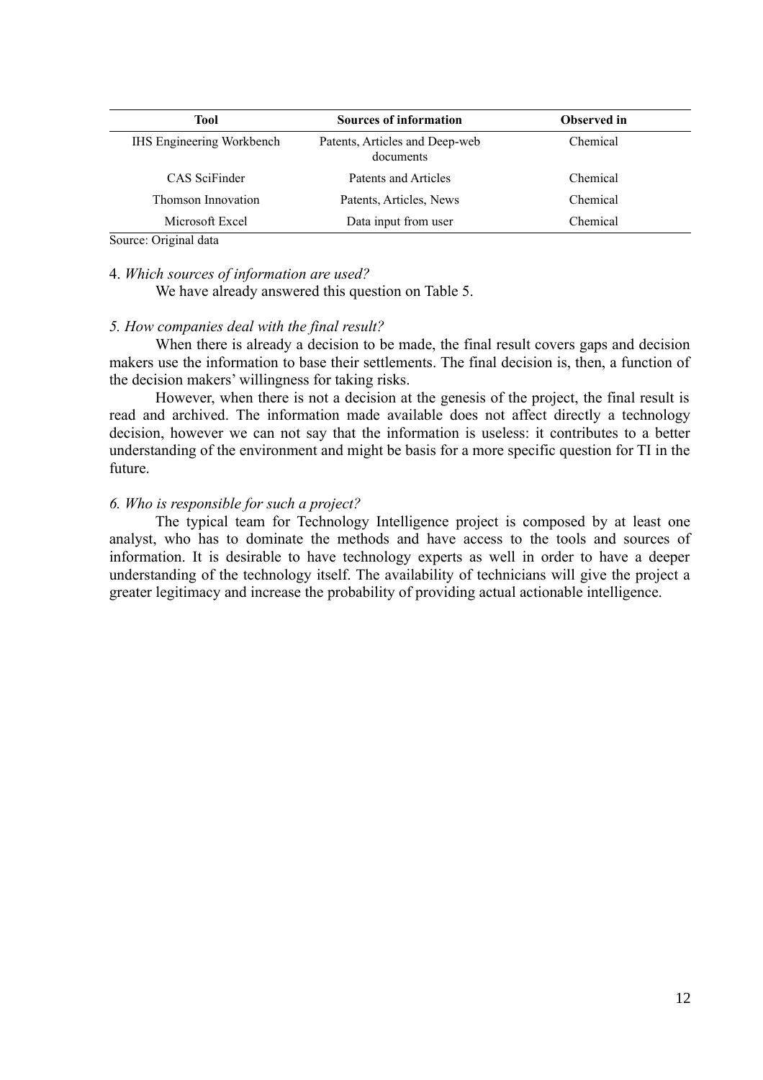| <b>Sources of information</b>               | <b>Observed in</b> |
|---------------------------------------------|--------------------|
| Patents, Articles and Deep-web<br>documents | Chemical           |
| Patents and Articles                        | Chemical           |
| Patents, Articles, News                     | Chemical           |
| Data input from user                        | Chemical           |
|                                             |                    |

Source: Original data

# 4. *Which sources of information are used?*

We have already answered this question on Table 5.

# *5. How companies deal with the final result?*

When there is already a decision to be made, the final result covers gaps and decision makers use the information to base their settlements. The final decision is, then, a function of the decision makers' willingness for taking risks.

However, when there is not a decision at the genesis of the project, the final result is read and archived. The information made available does not affect directly a technology decision, however we can not say that the information is useless: it contributes to a better understanding of the environment and might be basis for a more specific question for TI in the future.

# *6. Who is responsible for such a project?*

The typical team for Technology Intelligence project is composed by at least one analyst, who has to dominate the methods and have access to the tools and sources of information. It is desirable to have technology experts as well in order to have a deeper understanding of the technology itself. The availability of technicians will give the project a greater legitimacy and increase the probability of providing actual actionable intelligence.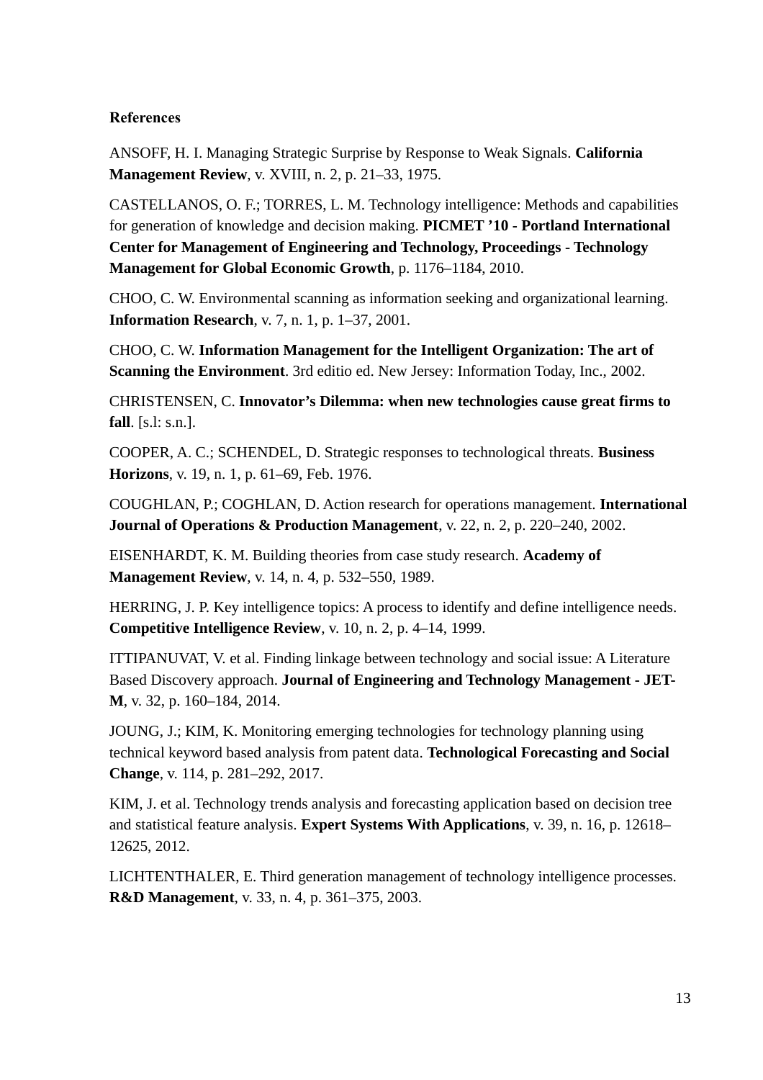# **References**

ANSOFF, H. I. Managing Strategic Surprise by Response to Weak Signals. **California Management Review**, v. XVIII, n. 2, p. 21–33, 1975.

CASTELLANOS, O. F.; TORRES, L. M. Technology intelligence: Methods and capabilities for generation of knowledge and decision making. **PICMET '10 - Portland International Center for Management of Engineering and Technology, Proceedings - Technology Management for Global Economic Growth**, p. 1176–1184, 2010.

CHOO, C. W. Environmental scanning as information seeking and organizational learning. **Information Research**, v. 7, n. 1, p. 1–37, 2001.

CHOO, C. W. **Information Management for the Intelligent Organization: The art of Scanning the Environment**. 3rd editio ed. New Jersey: Information Today, Inc., 2002.

CHRISTENSEN, C. **Innovator's Dilemma: when new technologies cause great firms to fall**. [s.l: s.n.].

COOPER, A. C.; SCHENDEL, D. Strategic responses to technological threats. **Business Horizons**, v. 19, n. 1, p. 61–69, Feb. 1976.

COUGHLAN, P.; COGHLAN, D. Action research for operations management. **International Journal of Operations & Production Management**, v. 22, n. 2, p. 220–240, 2002.

EISENHARDT, K. M. Building theories from case study research. **Academy of Management Review**, v. 14, n. 4, p. 532–550, 1989.

HERRING, J. P. Key intelligence topics: A process to identify and define intelligence needs. **Competitive Intelligence Review**, v. 10, n. 2, p. 4–14, 1999.

ITTIPANUVAT, V. et al. Finding linkage between technology and social issue: A Literature Based Discovery approach. **Journal of Engineering and Technology Management - JET-M**, v. 32, p. 160–184, 2014.

JOUNG, J.; KIM, K. Monitoring emerging technologies for technology planning using technical keyword based analysis from patent data. **Technological Forecasting and Social Change**, v. 114, p. 281–292, 2017.

KIM, J. et al. Technology trends analysis and forecasting application based on decision tree and statistical feature analysis. **Expert Systems With Applications**, v. 39, n. 16, p. 12618– 12625, 2012.

LICHTENTHALER, E. Third generation management of technology intelligence processes. **R&D Management**, v. 33, n. 4, p. 361–375, 2003.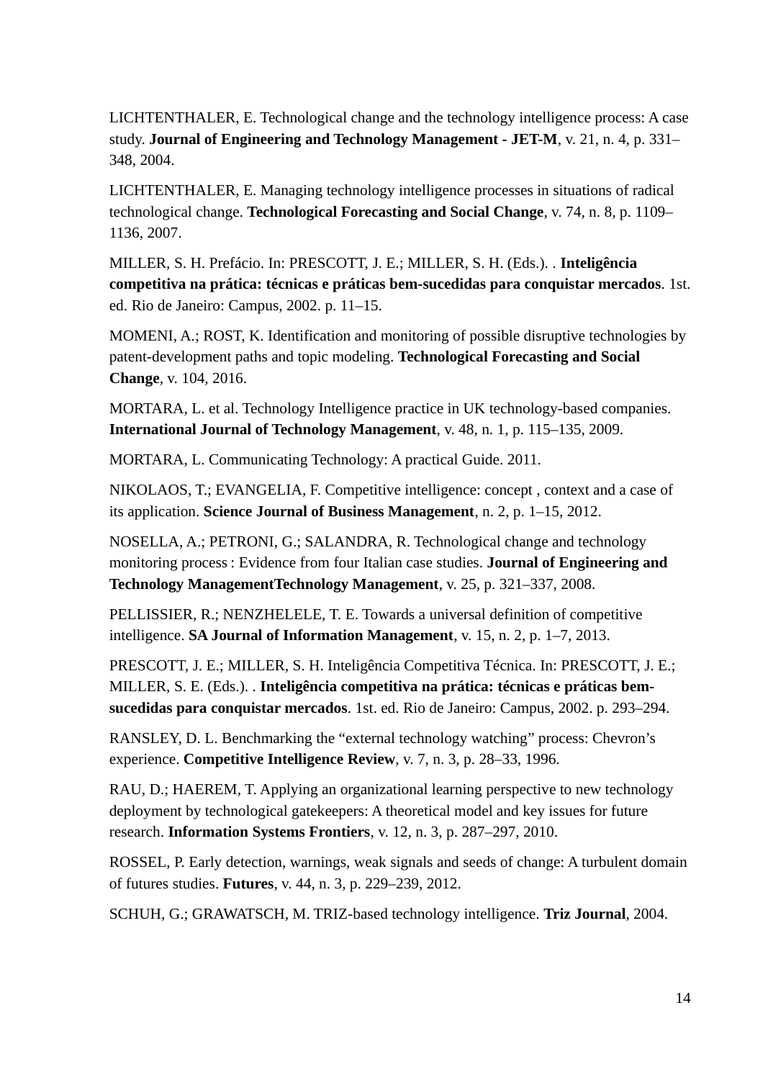LICHTENTHALER, E. Technological change and the technology intelligence process: A case study. **Journal of Engineering and Technology Management - JET-M**, v. 21, n. 4, p. 331– 348, 2004.

LICHTENTHALER, E. Managing technology intelligence processes in situations of radical technological change. **Technological Forecasting and Social Change**, v. 74, n. 8, p. 1109– 1136, 2007.

MILLER, S. H. Prefácio. In: PRESCOTT, J. E.; MILLER, S. H. (Eds.). . **Inteligência competitiva na prática: técnicas e práticas bem-sucedidas para conquistar mercados**. 1st. ed. Rio de Janeiro: Campus, 2002. p. 11–15.

MOMENI, A.; ROST, K. Identification and monitoring of possible disruptive technologies by patent-development paths and topic modeling. **Technological Forecasting and Social Change**, v. 104, 2016.

MORTARA, L. et al. Technology Intelligence practice in UK technology-based companies. **International Journal of Technology Management**, v. 48, n. 1, p. 115–135, 2009.

MORTARA, L. Communicating Technology: A practical Guide. 2011.

NIKOLAOS, T.; EVANGELIA, F. Competitive intelligence: concept , context and a case of its application. **Science Journal of Business Management**, n. 2, p. 1–15, 2012.

NOSELLA, A.; PETRONI, G.; SALANDRA, R. Technological change and technology monitoring process : Evidence from four Italian case studies. **Journal of Engineering and Technology ManagementTechnology Management**, v. 25, p. 321–337, 2008.

PELLISSIER, R.; NENZHELELE, T. E. Towards a universal definition of competitive intelligence. **SA Journal of Information Management**, v. 15, n. 2, p. 1–7, 2013.

PRESCOTT, J. E.; MILLER, S. H. Inteligência Competitiva Técnica. In: PRESCOTT, J. E.; MILLER, S. E. (Eds.). . **Inteligência competitiva na prática: técnicas e práticas bemsucedidas para conquistar mercados**. 1st. ed. Rio de Janeiro: Campus, 2002. p. 293–294.

RANSLEY, D. L. Benchmarking the "external technology watching" process: Chevron's experience. **Competitive Intelligence Review**, v. 7, n. 3, p. 28–33, 1996.

RAU, D.; HAEREM, T. Applying an organizational learning perspective to new technology deployment by technological gatekeepers: A theoretical model and key issues for future research. **Information Systems Frontiers**, v. 12, n. 3, p. 287–297, 2010.

ROSSEL, P. Early detection, warnings, weak signals and seeds of change: A turbulent domain of futures studies. **Futures**, v. 44, n. 3, p. 229–239, 2012.

SCHUH, G.; GRAWATSCH, M. TRIZ-based technology intelligence. **Triz Journal**, 2004.